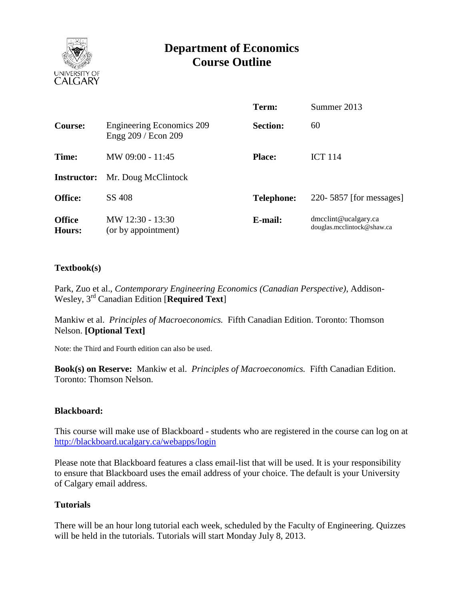

# **Department of Economics Course Outline**

|                                |                                                         | Term:             | Summer 2013                                        |
|--------------------------------|---------------------------------------------------------|-------------------|----------------------------------------------------|
| <b>Course:</b>                 | <b>Engineering Economics 209</b><br>Engg 209 / Econ 209 | <b>Section:</b>   | 60                                                 |
| Time:                          | MW 09:00 - 11:45                                        | <b>Place:</b>     | <b>ICT 114</b>                                     |
| <b>Instructor:</b>             | Mr. Doug McClintock                                     |                   |                                                    |
| <b>Office:</b>                 | SS 408                                                  | <b>Telephone:</b> | 220-5857 [for messages]                            |
| <b>Office</b><br><b>Hours:</b> | MW 12:30 - 13:30<br>(or by appointment)                 | E-mail:           | dmcclint@ucalgary.ca<br>douglas.mcclintock@shaw.ca |

## **Textbook(s)**

Park, Zuo et al., *Contemporary Engineering Economics (Canadian Perspective)*, Addison-Wesley, 3 rd Canadian Edition [**Required Text**]

Mankiw et al. *Principles of Macroeconomics.* Fifth Canadian Edition. Toronto: Thomson Nelson. **[Optional Text]**

Note: the Third and Fourth edition can also be used.

**Book(s) on Reserve:** Mankiw et al. *Principles of Macroeconomics.* Fifth Canadian Edition. Toronto: Thomson Nelson.

### **Blackboard:**

This course will make use of Blackboard - students who are registered in the course can log on at <http://blackboard.ucalgary.ca/webapps/login>

Please note that Blackboard features a class email-list that will be used. It is your responsibility to ensure that Blackboard uses the email address of your choice. The default is your University of Calgary email address.

### **Tutorials**

There will be an hour long tutorial each week, scheduled by the Faculty of Engineering. Quizzes will be held in the tutorials. Tutorials will start Monday July 8, 2013.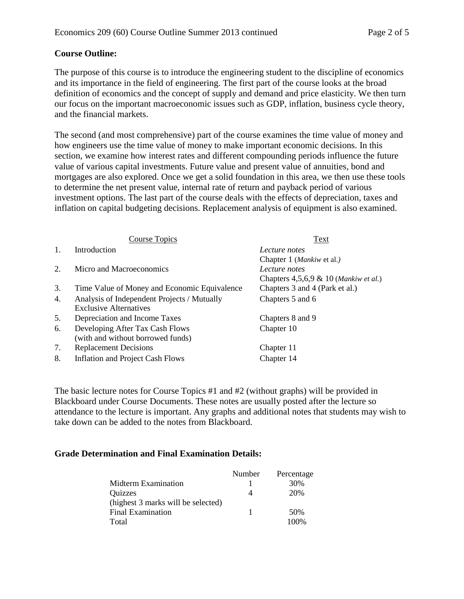# **Course Outline:**

The purpose of this course is to introduce the engineering student to the discipline of economics and its importance in the field of engineering. The first part of the course looks at the broad definition of economics and the concept of supply and demand and price elasticity. We then turn our focus on the important macroeconomic issues such as GDP, inflation, business cycle theory, and the financial markets.

The second (and most comprehensive) part of the course examines the time value of money and how engineers use the time value of money to make important economic decisions. In this section, we examine how interest rates and different compounding periods influence the future value of various capital investments. Future value and present value of annuities, bond and mortgages are also explored. Once we get a solid foundation in this area, we then use these tools to determine the net present value, internal rate of return and payback period of various investment options. The last part of the course deals with the effects of depreciation, taxes and inflation on capital budgeting decisions. Replacement analysis of equipment is also examined.

|                | <b>Course Topics</b>                         | Text                                     |  |  |
|----------------|----------------------------------------------|------------------------------------------|--|--|
| $\mathbf{1}$ . | Introduction                                 | Lecture notes                            |  |  |
|                |                                              | Chapter 1 (Mankiw et al.)                |  |  |
| 2.             | Micro and Macroeconomics                     | Lecture notes                            |  |  |
|                |                                              | Chapters $4,5,6,9 \& 10$ (Mankiw et al.) |  |  |
| 3.             | Time Value of Money and Economic Equivalence | Chapters 3 and 4 (Park et al.)           |  |  |
| 4.             | Analysis of Independent Projects / Mutually  | Chapters 5 and 6                         |  |  |
|                | <b>Exclusive Alternatives</b>                |                                          |  |  |
| 5.             | Depreciation and Income Taxes                | Chapters 8 and 9                         |  |  |
| 6.             | Developing After Tax Cash Flows              | Chapter 10                               |  |  |
|                | (with and without borrowed funds)            |                                          |  |  |
| 7.             | <b>Replacement Decisions</b>                 | Chapter 11                               |  |  |
| 8.             | Inflation and Project Cash Flows             | Chapter 14                               |  |  |

The basic lecture notes for Course Topics #1 and #2 (without graphs) will be provided in Blackboard under Course Documents. These notes are usually posted after the lecture so attendance to the lecture is important. Any graphs and additional notes that students may wish to take down can be added to the notes from Blackboard.

### **Grade Determination and Final Examination Details:**

|                                    | Number | Percentage |
|------------------------------------|--------|------------|
| Midterm Examination                |        | 30%        |
| Quizzes                            |        | 20%        |
| (highest 3 marks will be selected) |        |            |
| <b>Final Examination</b>           |        | 50%        |
| Total                              |        | 100%       |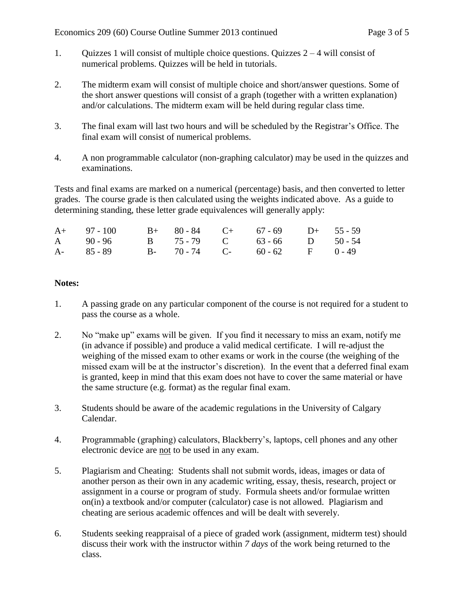- 1. Quizzes 1 will consist of multiple choice questions. Quizzes 2 4 will consist of numerical problems. Quizzes will be held in tutorials.
- 2. The midterm exam will consist of multiple choice and short/answer questions. Some of the short answer questions will consist of a graph (together with a written explanation) and/or calculations. The midterm exam will be held during regular class time.
- 3. The final exam will last two hours and will be scheduled by the Registrar's Office. The final exam will consist of numerical problems.
- 4. A non programmable calculator (non-graphing calculator) may be used in the quizzes and examinations.

Tests and final exams are marked on a numerical (percentage) basis, and then converted to letter grades. The course grade is then calculated using the weights indicated above. As a guide to determining standing, these letter grade equivalences will generally apply:

| A+ 97 - 100 B+ 80 - 84 C+ 67 - 69 D+ 55 - 59 |  |  |  |
|----------------------------------------------|--|--|--|
| A 90 - 96 B 75 - 79 C 63 - 66 D 50 - 54      |  |  |  |
| A- 85 - 89 B- 70 - 74 C- 60 - 62 F 0 - 49    |  |  |  |

## **Notes:**

- 1. A passing grade on any particular component of the course is not required for a student to pass the course as a whole.
- 2. No "make up" exams will be given. If you find it necessary to miss an exam, notify me (in advance if possible) and produce a valid medical certificate. I will re-adjust the weighing of the missed exam to other exams or work in the course (the weighing of the missed exam will be at the instructor's discretion). In the event that a deferred final exam is granted, keep in mind that this exam does not have to cover the same material or have the same structure (e.g. format) as the regular final exam.
- 3. Students should be aware of the academic regulations in the University of Calgary Calendar.
- 4. Programmable (graphing) calculators, Blackberry's, laptops, cell phones and any other electronic device are not to be used in any exam.
- 5. Plagiarism and Cheating: Students shall not submit words, ideas, images or data of another person as their own in any academic writing, essay, thesis, research, project or assignment in a course or program of study. Formula sheets and/or formulae written on(in) a textbook and/or computer (calculator) case is not allowed. Plagiarism and cheating are serious academic offences and will be dealt with severely.
- 6. Students seeking reappraisal of a piece of graded work (assignment, midterm test) should discuss their work with the instructor within *7 days* of the work being returned to the class.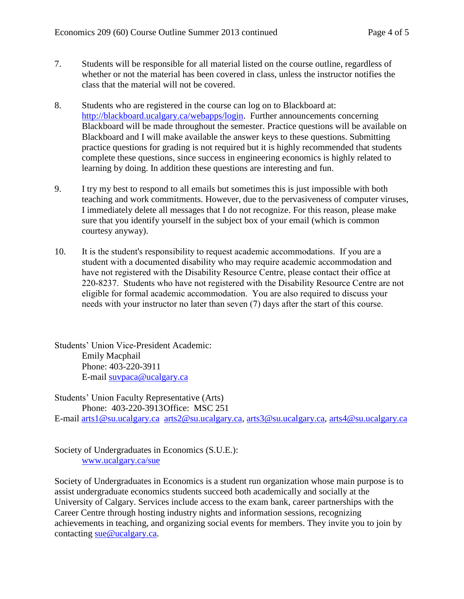- 7. Students will be responsible for all material listed on the course outline, regardless of whether or not the material has been covered in class, unless the instructor notifies the class that the material will not be covered.
- 8. Students who are registered in the course can log on to Blackboard at: [http://blackboard.ucalgary.ca/webapps/login.](http://blackboard.ucalgary.ca/webapps/login) Further announcements concerning Blackboard will be made throughout the semester. Practice questions will be available on Blackboard and I will make available the answer keys to these questions. Submitting practice questions for grading is not required but it is highly recommended that students complete these questions, since success in engineering economics is highly related to learning by doing. In addition these questions are interesting and fun.
- 9. I try my best to respond to all emails but sometimes this is just impossible with both teaching and work commitments. However, due to the pervasiveness of computer viruses, I immediately delete all messages that I do not recognize. For this reason, please make sure that you identify yourself in the subject box of your email (which is common courtesy anyway).
- 10. It is the student's responsibility to request academic accommodations. If you are a student with a documented disability who may require academic accommodation and have not registered with the Disability Resource Centre, please contact their office at 220-8237. Students who have not registered with the Disability Resource Centre are not eligible for formal academic accommodation. You are also required to discuss your needs with your instructor no later than seven (7) days after the start of this course.

Students' Union Vice-President Academic: Emily Macphail Phone: 403-220-3911 E-mail [suvpaca@ucalgary.ca](mailto:subpaca@ucalgary.ca)

Students' Union Faculty Representative (Arts) Phone: 403-220-3913Office: MSC 251 E-mail [arts1@su.ucalgary.ca](mailto:arts1@su.ucalgary.ca) [arts2@su.ucalgary.ca,](mailto:arts2@su.ucalgary.ca) [arts3@su.ucalgary.ca,](mailto:arts3@su.ucalgary.ca) [arts4@su.ucalgary.ca](mailto:arts4@su.ucalgary.ca)

Society of Undergraduates in Economics (S.U.E.): [www.ucalgary.ca/sue](http://www.fp.ucalgary.ca/econ)

Society of Undergraduates in Economics is a student run organization whose main purpose is to assist undergraduate economics students succeed both academically and socially at the University of Calgary. Services include access to the exam bank, career partnerships with the Career Centre through hosting industry nights and information sessions, recognizing achievements in teaching, and organizing social events for members. They invite you to join by contacting [sue@ucalgary.ca.](mailto:sue@ucalgary.ca)